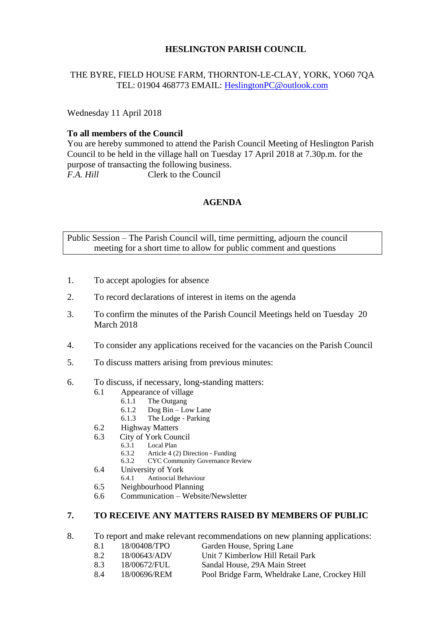# **HESLINGTON PARISH COUNCIL**

# THE BYRE, FIELD HOUSE FARM, THORNTON-LE-CLAY, YORK, YO60 7QA TEL: 01904 468773 EMAIL: [HeslingtonPC@outlook.com](mailto:HeslingtonPC@outlook.com)

Wednesday 11 April 2018

#### **To all members of the Council**

You are hereby summoned to attend the Parish Council Meeting of Heslington Parish Council to be held in the village hall on Tuesday 17 April 2018 at 7.30p.m. for the purpose of transacting the following business. *F.A. Hill* Clerk to the Council

# **AGENDA**

Public Session – The Parish Council will, time permitting, adjourn the council meeting for a short time to allow for public comment and questions

- 1. To accept apologies for absence
- 2. To record declarations of interest in items on the agenda
- 3. To confirm the minutes of the Parish Council Meetings held on Tuesday 20 March 2018
- 4. To consider any applications received for the vacancies on the Parish Council
- 5. To discuss matters arising from previous minutes:
- 6. To discuss, if necessary, long-standing matters:
	- 6.1 Appearance of village
		- 6.1.1 The Outgang
		- 6.1.2 Dog Bin Low Lane
		- 6.1.3 The Lodge Parking
	- 6.2 Highway Matters
	- 6.3 City of York Council
		- 6.3.1 Local Plan<br>6.3.2 Article 4 (2
		- 6.3.2 Article 4 (2) Direction Funding
		- 6.3.2 CYC Community Governance Review
	- 6.4 University of York<br>6.4.1 Antisocial Be
		- 6.4.1 Antisocial Behaviour
	- 6.5 Neighbourhood Planning
	- 6.6 Communication Website/Newsletter

# **7. TO RECEIVE ANY MATTERS RAISED BY MEMBERS OF PUBLIC**

- 8. To report and make relevant recommendations on new planning applications:
	- 8.1 18/00408/TPO Garden House, Spring Lane
	- 8.2 18/00643/ADV Unit 7 Kimberlow Hill Retail Park
	- 8.3 18/00672/FUL Sandal House, 29A Main Street
	- 8.4 18/00696/REM Pool Bridge Farm, Wheldrake Lane, Crockey Hill